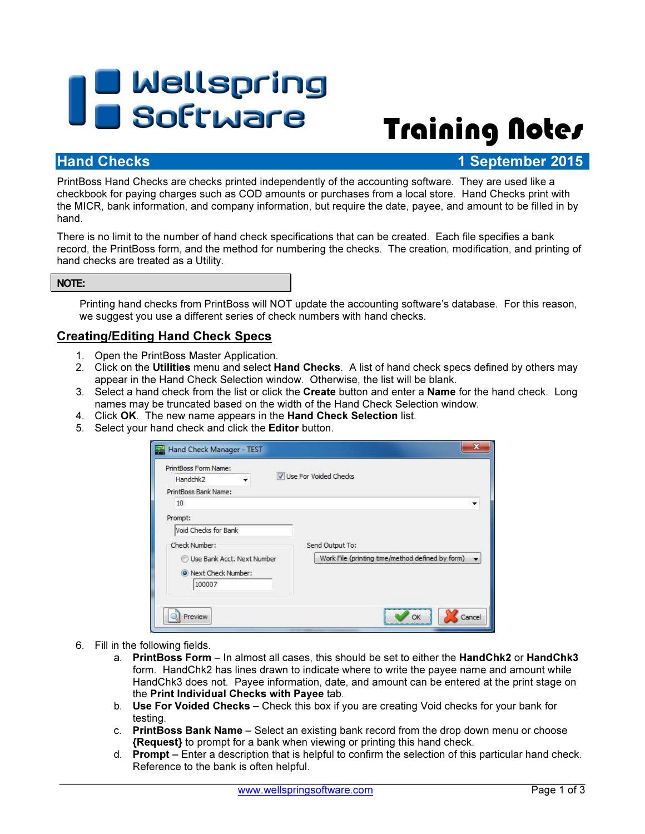# Twellspring<br>Training Notes

# **Hand Checks** 1 September 2015

PrintBoss Hand Checks are checks printed independently of the accounting software. They are used like a checkbook for paying charges such as COD amounts or purchases from a local store. Hand Checks print with the MICR, bank information, and company information, but require the date, payee, and amount to be filled in by hand.

There is no limit to the number of hand check specifications that can be created. Each file specifies a bank record, the PrintBoss form, and the method for numbering the checks. The creation, modification, and printing of hand checks are treated as a Utility.

## NOTE:

Printing hand checks from PrintBoss will NOT update the accounting software's database. For this reason, we suggest you use a different series of check numbers with hand checks.

# Creating/Editing Hand Check Specs

- 1. Open the PrintBoss Master Application.
- 2. Click on the Utilities menu and select Hand Checks. A list of hand check specs defined by others may appear in the Hand Check Selection window. Otherwise, the list will be blank.
- 3. Select a hand check from the list or click the **Create** button and enter a **Name** for the hand check. Long names may be truncated based on the width of the Hand Check Selection window.
- 4. Click OK. The new name appears in the Hand Check Selection list.
- 5. Select your hand check and click the Editor button.

| PrintBoss Form Name:<br>Handchk <sub>2</sub> | Use For Voided Checks                            |
|----------------------------------------------|--------------------------------------------------|
| PrintBoss Bank Name:                         |                                                  |
| 10                                           |                                                  |
| Prompt:                                      |                                                  |
| Void Checks for Bank                         |                                                  |
| Check Number:                                | Send Output To:                                  |
| Use Bank Acct. Next Number                   | Work File (printing time/method defined by form) |
| O Next Check Number:                         |                                                  |
| 100007                                       |                                                  |
|                                              |                                                  |

- 6. Fill in the following fields.
	- a. PrintBoss Form In almost all cases, this should be set to either the HandChk2 or HandChk3 form. HandChk2 has lines drawn to indicate where to write the payee name and amount while HandChk3 does not. Payee information, date, and amount can be entered at the print stage on the Print Individual Checks with Payee tab.
	- b. Use For Voided Checks Check this box if you are creating Void checks for your bank for testing.
	- c. PrintBoss Bank Name Select an existing bank record from the drop down menu or choose {Request} to prompt for a bank when viewing or printing this hand check.
	- d. Prompt Enter a description that is helpful to confirm the selection of this particular hand check. Reference to the bank is often helpful.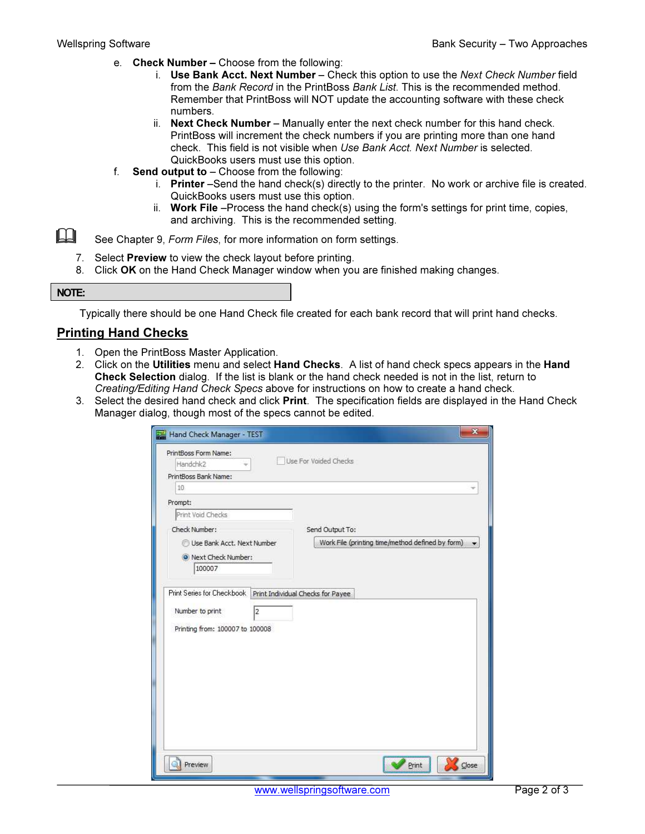- e. Check Number Choose from the following:
	- i. Use Bank Acct. Next Number Check this option to use the Next Check Number field from the Bank Record in the PrintBoss Bank List. This is the recommended method. Remember that PrintBoss will NOT update the accounting software with these check numbers.
	- ii. Next Check Number Manually enter the next check number for this hand check. PrintBoss will increment the check numbers if you are printing more than one hand check. This field is not visible when Use Bank Acct. Next Number is selected. QuickBooks users must use this option.
- f. Send output to  $-$  Choose from the following:
	- i. Printer –Send the hand check(s) directly to the printer. No work or archive file is created. QuickBooks users must use this option.
	- ii. Work File –Process the hand check(s) using the form's settings for print time, copies, and archiving. This is the recommended setting.
- See Chapter 9, Form Files, for more information on form settings.
	- 7. Select Preview to view the check layout before printing.
	- 8. Click OK on the Hand Check Manager window when you are finished making changes.

### NOTE:

Typically there should be one Hand Check file created for each bank record that will print hand checks.

## Printing Hand Checks

- 1. Open the PrintBoss Master Application.
- 2. Click on the Utilities menu and select Hand Checks. A list of hand check specs appears in the Hand Check Selection dialog. If the list is blank or the hand check needed is not in the list, return to Creating/Editing Hand Check Specs above for instructions on how to create a hand check.
- 3. Select the desired hand check and click Print. The specification fields are displayed in the Hand Check Manager dialog, though most of the specs cannot be edited.

| Hand Check Manager - TEST                                            | $\mathbf x$                                      |
|----------------------------------------------------------------------|--------------------------------------------------|
| PrintBoss Form Name:                                                 |                                                  |
| Handchk2                                                             | Use For Voided Checks                            |
| PrintBoss Bank Name:                                                 |                                                  |
| 10                                                                   |                                                  |
| Prompt:                                                              |                                                  |
| Print Void Checks                                                    |                                                  |
| Check Number:                                                        | Send Output To:                                  |
| Use Bank Acct. Next Number                                           | Work File (printing time/method defined by form) |
| O Next Check Number:                                                 |                                                  |
| 100007                                                               |                                                  |
|                                                                      |                                                  |
| Number to print<br>$\overline{2}$<br>Printing from: 100007 to 100008 |                                                  |
|                                                                      |                                                  |